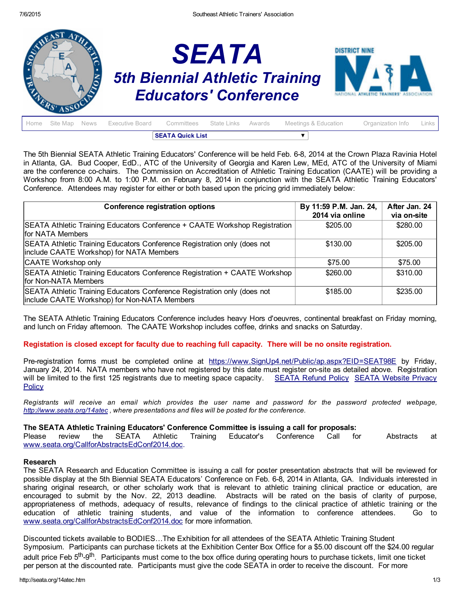

|  |  |  |  | <b>SEATA Quick List</b>                                                               |  |  |                   |         |
|--|--|--|--|---------------------------------------------------------------------------------------|--|--|-------------------|---------|
|  |  |  |  | Home Site Map News Executive Board Committees State Links Awards Meetings & Education |  |  | Organization Info | Links I |

The 5th Biennial SEATA Athletic Training Educators' Conference will be held Feb. 6-8, 2014 at the Crown Plaza Ravinia Hotel in Atlanta, GA. Bud Cooper, EdD., ATC of the University of Georgia and Karen Lew, MEd, ATC of the University of Miami are the conference co-chairs. The Commission on Accreditation of Athletic Training Education (CAATE) will be providing a Workshop from 8:00 A.M. to 1:00 P.M. on February 8, 2014 in conjunction with the SEATA Athletic Training Educators' Conference. Attendees may register for either or both based upon the pricing grid immediately below:

| <b>Conference registration options</b>                                                                                   | By 11:59 P.M. Jan. 24,<br>2014 via online | After Jan. 24<br>via on-site |
|--------------------------------------------------------------------------------------------------------------------------|-------------------------------------------|------------------------------|
| SEATA Athletic Training Educators Conference + CAATE Workshop Registration<br>for NATA Members                           | \$205.00                                  | \$280.00                     |
| SEATA Athletic Training Educators Conference Registration only (does not<br>include CAATE Workshop) for NATA Members     | \$130.00                                  | \$205.00                     |
| CAATE Workshop only                                                                                                      | \$75.00                                   | \$75.00                      |
| SEATA Athletic Training Educators Conference Registration + CAATE Workshop<br>for Non-NATA Members                       | \$260.00                                  | \$310.00                     |
| SEATA Athletic Training Educators Conference Registration only (does not<br>include CAATE Workshop) for Non-NATA Members | \$185.00                                  | \$235.00                     |

The SEATA Athletic Training Educators Conference includes heavy Hors d'oeuvres, continental breakfast on Friday morning, and lunch on Friday afternoon. The CAATE Workshop includes coffee, drinks and snacks on Saturday.

### Registation is closed except for faculty due to reaching full capacity. There will be no onsite registration.

Pre-registration forms must be completed online at [https://www.SignUp4.net/Public/ap.aspx?EID=SEAT98E](https://www.signup4.net/Public/ap.aspx?EID=SEAT98E) by Friday, January 24, 2014. NATA members who have not registered by this date must register onsite as detailed above. Registration will be limited to the first 125 [registrants](http://seata.org/privacy.htm) due to meeting space capacity. [SEATA](http://seata.org/refund.htm) Refund Policy SEATA Website Privacy **Policy** 

Registrants will receive an email which provides the user name and password for the password protected webpage, *[http://www.seata.org/14atec](http://www.seata.org/14atec/) , where presentations and files will be posted for the conference.*

### The SEATA Athletic Training Educators' Conference Committee is issuing a call for proposals:

Please review the SEATA Athletic Training Educator's Conference Call for Abstracts at [www.seata.org/CallforAbstractsEdConf2014.doc.](http://www.seata.org/CallforAbstractsEdConf2014.doc)

#### Research

The SEATA Research and Education Committee is issuing a call for poster presentation abstracts that will be reviewed for possible display at the 5th Biennial SEATA Educators' Conference on Feb. 6-8, 2014 in Atlanta, GA. Individuals interested in sharing original research, or other scholarly work that is relevant to athletic training clinical practice or education, are encouraged to submit by the Nov. 22, 2013 deadline. Abstracts will be rated on the basis of clarity of purpose, appropriateness of methods, adequacy of results, relevance of findings to the clinical practice of athletic training or the education of athletic training students, and value of the information to conference attendees. Go to [www.seata.org/CallforAbstractsEdConf2014.doc](http://www.seata.org/CallforAbstractsEdConf2014.doc) for more information.

Discounted tickets available to BODIES…The Exhibition for all attendees of the SEATA Athletic Training Student Symposium. Participants can purchase tickets at the Exhibition Center Box Office for a \$5.00 discount off the \$24.00 regular adult price Feb 5<sup>th</sup>-9<sup>th</sup>. Participants must come to the box office during operating hours to purchase tickets, limit one ticket per person at the discounted rate. Participants must give the code SEATA in order to receive the discount. For more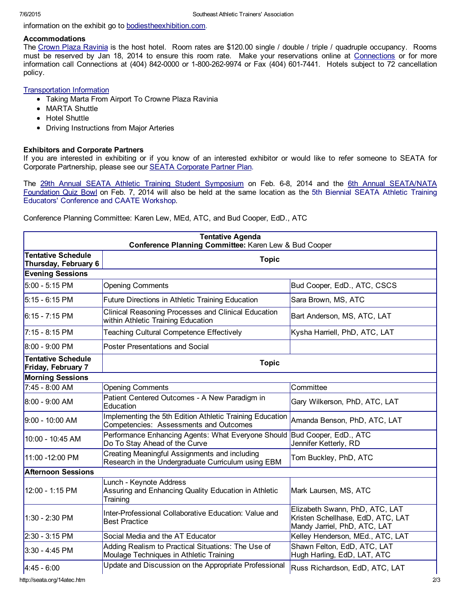information on the exhibit go to [bodiestheexhibition.com.](http://bodiestheexhibition.com/)

## Accommodations

The Crown Plaza [Ravinia](https://resweb.passkey.com/go/70ff9848) is the host hotel. Room rates are \$120.00 single / double / triple / quadruple occupancy. Rooms must be reserved by Jan 18, 2014 to ensure this room rate. Make your reservations online at [Connections](https://resweb.passkey.com/go/70ff9848) or for more information call Connections at (404) 842-0000 or 1-800-262-9974 or Fax (404) 601-7441. Hotels subject to 72 cancellation policy.

# [Transportation](http://seata.org/07atss/MARTAtoCrownePlazafromAirport.doc) Information

- Taking Marta From Airport To Crowne Plaza Ravinia
- MARTA Shuttle
- Hotel Shuttle
- Driving Instructions from Major Arteries

## Exhibitors and Corporate Partners

If you are interested in exhibiting or if you know of an interested exhibitor or would like to refer someone to SEATA for Corporate Partnership, please see our SEATA [Corporate](http://seata.org/cpp.htm) Partner Plan.

The 29th Annual SEATA Athletic Training Student [Symposium](http://www.seata.org/14atss.htm) on Feb. 6-8, 2014 and the 6th Annual [SEATA/NATA](http://www.seata.org/14qb.htm) Foundation Quiz Bowl on Feb. 7, 2014 will also be held at the same location as the 5th Biennial SEATA Athletic Training Educators' Conference and CAATE Workshop.

Conference Planning Committee: Karen Lew, MEd, ATC, and Bud Cooper, EdD., ATC

| <b>Tentative Agenda</b><br>Conference Planning Committee: Karen Lew & Bud Cooper |                                                                                                     |                                                                                                     |  |  |  |
|----------------------------------------------------------------------------------|-----------------------------------------------------------------------------------------------------|-----------------------------------------------------------------------------------------------------|--|--|--|
| <b>Tentative Schedule</b><br>Thursday, February 6                                |                                                                                                     |                                                                                                     |  |  |  |
| <b>Evening Sessions</b>                                                          |                                                                                                     |                                                                                                     |  |  |  |
| $5:00 - 5:15$ PM                                                                 | <b>Opening Comments</b>                                                                             | Bud Cooper, EdD., ATC, CSCS                                                                         |  |  |  |
| 5:15 - 6:15 PM                                                                   | Future Directions in Athletic Training Education                                                    | Sara Brown, MS, ATC                                                                                 |  |  |  |
| 6:15 - 7:15 PM                                                                   | Clinical Reasoning Processes and Clinical Education<br>within Athletic Training Education           | Bart Anderson, MS, ATC, LAT                                                                         |  |  |  |
| $7:15 - 8:15 \text{ PM}$                                                         | <b>Teaching Cultural Competence Effectively</b>                                                     | Kysha Harriell, PhD, ATC, LAT                                                                       |  |  |  |
| 8:00 - 9:00 PM                                                                   | <b>Poster Presentations and Social</b>                                                              |                                                                                                     |  |  |  |
| <b>Tentative Schedule</b><br>Friday, February 7                                  | <b>Topic</b>                                                                                        |                                                                                                     |  |  |  |
| <b>Morning Sessions</b>                                                          |                                                                                                     |                                                                                                     |  |  |  |
| 7:45 - 8:00 AM                                                                   | <b>Opening Comments</b>                                                                             | Committee                                                                                           |  |  |  |
| $8:00 - 9:00$ AM                                                                 | Patient Centered Outcomes - A New Paradigm in<br>Education                                          | Gary Wilkerson, PhD, ATC, LAT                                                                       |  |  |  |
| $9:00 - 10:00$ AM                                                                | Implementing the 5th Edition Athletic Training Education<br>Competencies: Assessments and Outcomes  | Amanda Benson, PhD, ATC, LAT                                                                        |  |  |  |
| 10:00 - 10:45 AM                                                                 | Performance Enhancing Agents: What Everyone Should<br>Do To Stay Ahead of the Curve                 | Bud Cooper, EdD., ATC<br>Jennifer Ketterly, RD                                                      |  |  |  |
| 11:00 -12:00 PM                                                                  | Creating Meaningful Assignments and including<br>Research in the Undergraduate Curriculum using EBM | Tom Buckley, PhD, ATC                                                                               |  |  |  |
| <b>Afternoon Sessions</b>                                                        |                                                                                                     |                                                                                                     |  |  |  |
| 12:00 - 1:15 PM                                                                  | Lunch - Keynote Address<br>Assuring and Enhancing Quality Education in Athletic<br>Training         | Mark Laursen, MS, ATC                                                                               |  |  |  |
| 1:30 - 2:30 PM                                                                   | Inter-Professional Collaborative Education: Value and<br><b>Best Practice</b>                       | Elizabeth Swann, PhD, ATC, LAT<br>Kristen Schellhase, EdD, ATC, LAT<br>Mandy Jarriel, PhD, ATC, LAT |  |  |  |
| $2:30 - 3:15$ PM                                                                 | Social Media and the AT Educator                                                                    | Kelley Henderson, MEd., ATC, LAT                                                                    |  |  |  |
| 3:30 - 4:45 PM                                                                   | Adding Realism to Practical Situations: The Use of<br>Moulage Techniques in Athletic Training       | Shawn Felton, EdD, ATC, LAT<br>Hugh Harling, EdD, LAT, ATC                                          |  |  |  |
| $4:45 - 6:00$                                                                    | Update and Discussion on the Appropriate Professional                                               | Russ Richardson, EdD, ATC, LAT                                                                      |  |  |  |